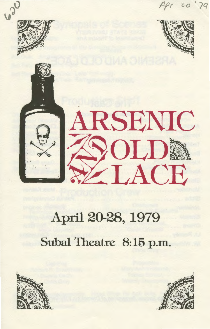

# April 20-28, 1979 Subal Theatre 8:15 p.m.



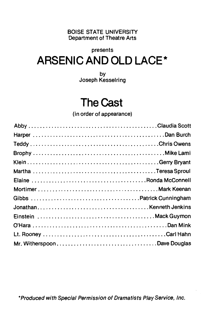BOISE STATE UNIVERSITY Department of Theatre Arts

#### presents

# **ARSENIC AND OLD LACE\***

by Joseph Kesselring

# **The Cast**

(in order of appearance)

\*Produced with Special Permission of Dramatists Play Service, Inc.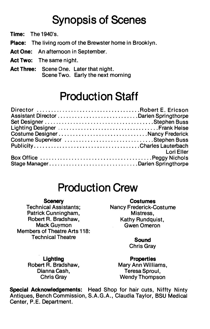# **Synopsis of Scenes**

**Time:** The 1940's.

**Place:** The living room of the Brewster home in Brooklyn.

- **Act One:** An afternoon in September.
- **Act Two:** The same night.
- **Act Three:** Scene One. Later that night. Scene Two. Early the next morning

### **Production Staff**

|                                  | Lori Eller |
|----------------------------------|------------|
|                                  |            |
| Stage ManagerDarien Springthorpe |            |

### **Production Crew**

#### **Scenery**

Technical Assistants; Patrick Cunningham, Robert R. Bradshaw, Mack Guymon Members of Theatre Arts 118: Technical Theatre

**Costumes**  Nancy Frederick-Costume Mistress, Kathy Rundquist, GwenOmeron

> **Sound**  Chris Gray

**Lighting**  Robert R. Bradshaw, Dianna Cash, Chris Gray

**Properties**  Mary Ann Williams, Teresa Sproul, Wendy Thompson

**Special Acknowledgements:** Head Shop for hair cuts, Niffty Ninty Antiques, Bench Commission, S.A.G.A., Claudia Taylor, BSU Medical Center, P.E. Department.